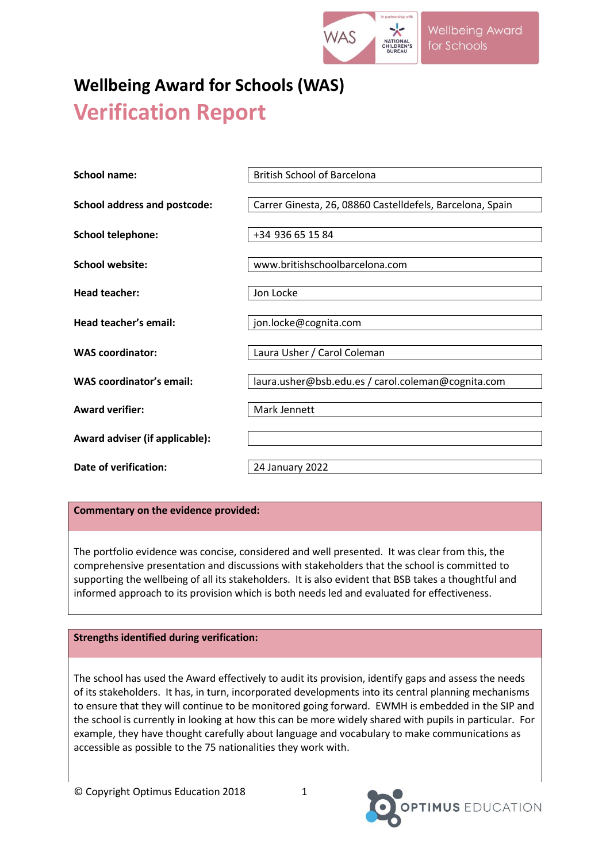

# **Wellbeing Award for Schools (WAS) Verification Report**

| <b>School name:</b>                 | <b>British School of Barcelona</b>                        |
|-------------------------------------|-----------------------------------------------------------|
| <b>School address and postcode:</b> | Carrer Ginesta, 26, 08860 Castelldefels, Barcelona, Spain |
| <b>School telephone:</b>            | +34 936 65 15 84                                          |
| School website:                     | www.britishschoolbarcelona.com                            |
| <b>Head teacher:</b>                | Jon Locke                                                 |
| Head teacher's email:               | jon.locke@cognita.com                                     |
| <b>WAS coordinator:</b>             | Laura Usher / Carol Coleman                               |
| WAS coordinator's email:            | laura.usher@bsb.edu.es / carol.coleman@cognita.com        |
| <b>Award verifier:</b>              | Mark Jennett                                              |
| Award adviser (if applicable):      |                                                           |
| Date of verification:               | 24 January 2022                                           |

**Commentary on the evidence provided:**

The portfolio evidence was concise, considered and well presented. It was clear from this, the comprehensive presentation and discussions with stakeholders that the school is committed to supporting the wellbeing of all its stakeholders. It is also evident that BSB takes a thoughtful and informed approach to its provision which is both needs led and evaluated for effectiveness.

## **Strengths identified during verification:**

The school has used the Award effectively to audit its provision, identify gaps and assess the needs of its stakeholders. It has, in turn, incorporated developments into its central planning mechanisms to ensure that they will continue to be monitored going forward. EWMH is embedded in the SIP and the school is currently in looking at how this can be more widely shared with pupils in particular. For example, they have thought carefully about language and vocabulary to make communications as accessible as possible to the 75 nationalities they work with.

© Copyright Optimus Education 2018 1

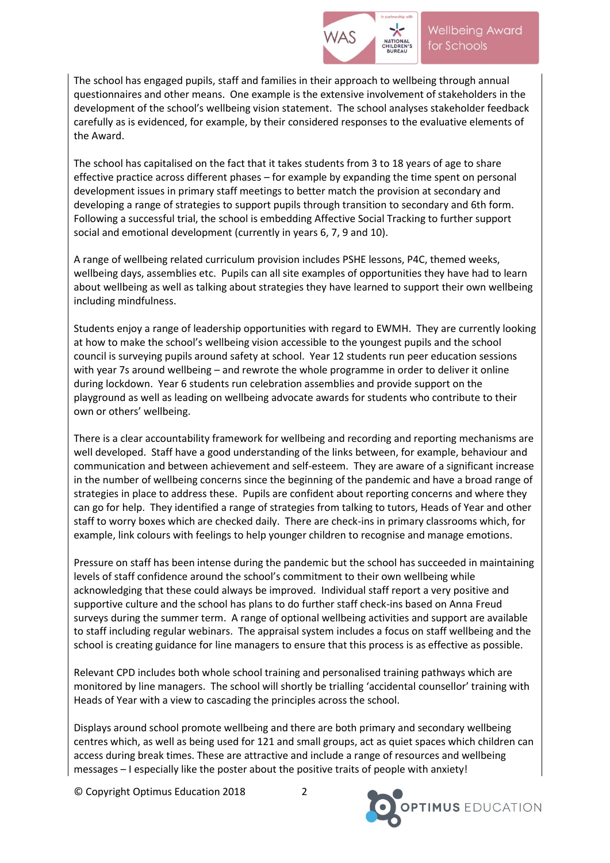

The school has engaged pupils, staff and families in their approach to wellbeing through annual questionnaires and other means. One example is the extensive involvement of stakeholders in the development of the school's wellbeing vision statement. The school analyses stakeholder feedback carefully as is evidenced, for example, by their considered responses to the evaluative elements of the Award.

The school has capitalised on the fact that it takes students from 3 to 18 years of age to share effective practice across different phases – for example by expanding the time spent on personal development issues in primary staff meetings to better match the provision at secondary and developing a range of strategies to support pupils through transition to secondary and 6th form. Following a successful trial, the school is embedding Affective Social Tracking to further support social and emotional development (currently in years 6, 7, 9 and 10).

A range of wellbeing related curriculum provision includes PSHE lessons, P4C, themed weeks, wellbeing days, assemblies etc. Pupils can all site examples of opportunities they have had to learn about wellbeing as well as talking about strategies they have learned to support their own wellbeing including mindfulness.

Students enjoy a range of leadership opportunities with regard to EWMH. They are currently looking at how to make the school's wellbeing vision accessible to the youngest pupils and the school council is surveying pupils around safety at school. Year 12 students run peer education sessions with year 7s around wellbeing – and rewrote the whole programme in order to deliver it online during lockdown. Year 6 students run celebration assemblies and provide support on the playground as well as leading on wellbeing advocate awards for students who contribute to their own or others' wellbeing.

There is a clear accountability framework for wellbeing and recording and reporting mechanisms are well developed. Staff have a good understanding of the links between, for example, behaviour and communication and between achievement and self-esteem. They are aware of a significant increase in the number of wellbeing concerns since the beginning of the pandemic and have a broad range of strategies in place to address these. Pupils are confident about reporting concerns and where they can go for help. They identified a range of strategies from talking to tutors, Heads of Year and other staff to worry boxes which are checked daily. There are check-ins in primary classrooms which, for example, link colours with feelings to help younger children to recognise and manage emotions.

Pressure on staff has been intense during the pandemic but the school has succeeded in maintaining levels of staff confidence around the school's commitment to their own wellbeing while acknowledging that these could always be improved. Individual staff report a very positive and supportive culture and the school has plans to do further staff check-ins based on Anna Freud surveys during the summer term. A range of optional wellbeing activities and support are available to staff including regular webinars. The appraisal system includes a focus on staff wellbeing and the school is creating guidance for line managers to ensure that this process is as effective as possible.

Relevant CPD includes both whole school training and personalised training pathways which are monitored by line managers. The school will shortly be trialling 'accidental counsellor' training with Heads of Year with a view to cascading the principles across the school.

Displays around school promote wellbeing and there are both primary and secondary wellbeing centres which, as well as being used for 121 and small groups, act as quiet spaces which children can access during break times. These are attractive and include a range of resources and wellbeing messages – I especially like the poster about the positive traits of people with anxiety!

© Copyright Optimus Education 2018 2

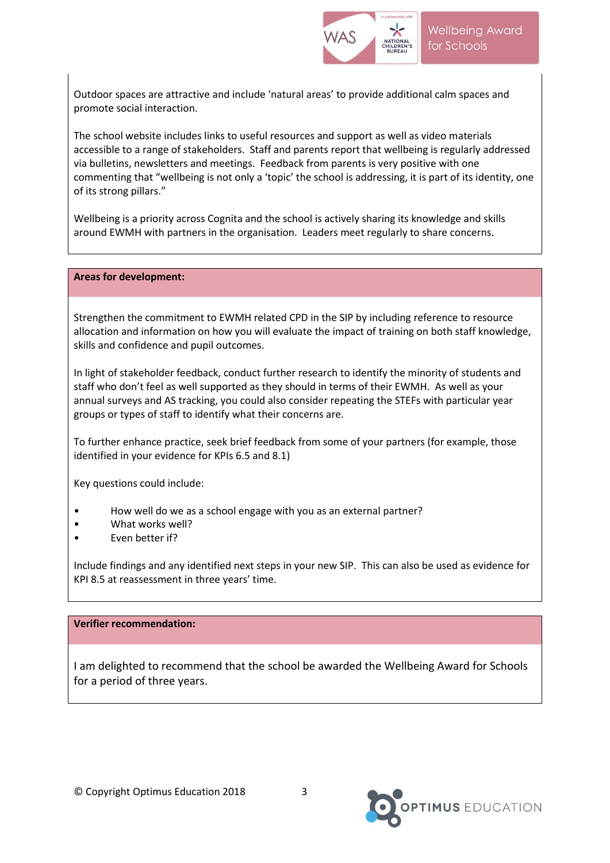

Outdoor spaces are attractive and include 'natural areas' to provide additional calm spaces and promote social interaction.

The school website includes links to useful resources and support as well as video materials accessible to a range of stakeholders. Staff and parents report that wellbeing is regularly addressed via bulletins, newsletters and meetings. Feedback from parents is very positive with one commenting that "wellbeing is not only a 'topic' the school is addressing, it is part of its identity, one of its strong pillars."

Wellbeing is a priority across Cognita and the school is actively sharing its knowledge and skills around EWMH with partners in the organisation. Leaders meet regularly to share concerns.

#### **Areas for development:**

Strengthen the commitment to EWMH related CPD in the SIP by including reference to resource allocation and information on how you will evaluate the impact of training on both staff knowledge, skills and confidence and pupil outcomes.

In light of stakeholder feedback, conduct further research to identify the minority of students and staff who don't feel as well supported as they should in terms of their EWMH. As well as your annual surveys and AS tracking, you could also consider repeating the STEFs with particular year groups or types of staff to identify what their concerns are.

To further enhance practice, seek brief feedback from some of your partners (for example, those identified in your evidence for KPIs 6.5 and 8.1)

Key questions could include:

- How well do we as a school engage with you as an external partner?
- What works well?
- Even better if?

Include findings and any identified next steps in your new SIP. This can also be used as evidence for KPI 8.5 at reassessment in three years' time.

### **Verifier recommendation:**

I am delighted to recommend that the school be awarded the Wellbeing Award for Schools for a period of three years.